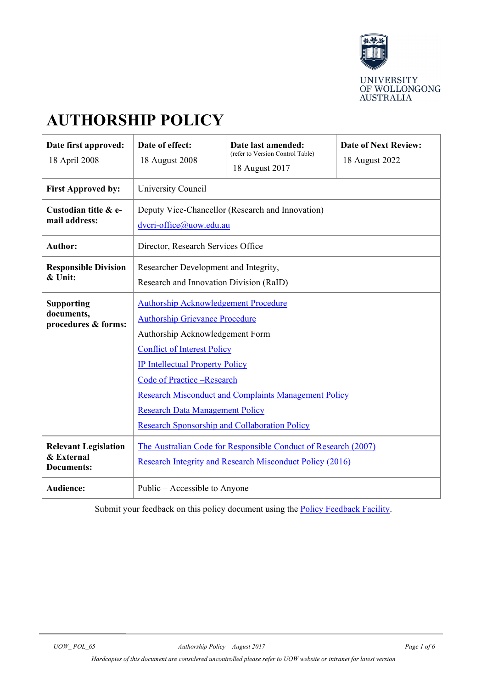

# **AUTHORSHIP POLICY**

| Date first approved:<br>18 April 2008                          | Date of effect:<br>18 August 2008                                                                                                                                                                                                                                                                                                                                                                      | Date last amended:<br>(refer to Version Control Table)<br>18 August 2017 | <b>Date of Next Review:</b><br>18 August 2022 |  |  |
|----------------------------------------------------------------|--------------------------------------------------------------------------------------------------------------------------------------------------------------------------------------------------------------------------------------------------------------------------------------------------------------------------------------------------------------------------------------------------------|--------------------------------------------------------------------------|-----------------------------------------------|--|--|
| <b>First Approved by:</b>                                      | University Council                                                                                                                                                                                                                                                                                                                                                                                     |                                                                          |                                               |  |  |
| Custodian title & e-<br>mail address:                          | Deputy Vice-Chancellor (Research and Innovation)<br>dvcri-office@uow.edu.au                                                                                                                                                                                                                                                                                                                            |                                                                          |                                               |  |  |
| <b>Author:</b>                                                 | Director, Research Services Office                                                                                                                                                                                                                                                                                                                                                                     |                                                                          |                                               |  |  |
| <b>Responsible Division</b><br>& Unit:                         | Researcher Development and Integrity,<br>Research and Innovation Division (RaID)                                                                                                                                                                                                                                                                                                                       |                                                                          |                                               |  |  |
| <b>Supporting</b><br>documents,<br>procedures & forms:         | <b>Authorship Acknowledgement Procedure</b><br><b>Authorship Grievance Procedure</b><br>Authorship Acknowledgement Form<br><b>Conflict of Interest Policy</b><br><b>IP Intellectual Property Policy</b><br>Code of Practice -Research<br><b>Research Misconduct and Complaints Management Policy</b><br><b>Research Data Management Policy</b><br><b>Research Sponsorship and Collaboration Policy</b> |                                                                          |                                               |  |  |
| <b>Relevant Legislation</b><br>& External<br><b>Documents:</b> | The Australian Code for Responsible Conduct of Research (2007)<br>Research Integrity and Research Misconduct Policy (2016)                                                                                                                                                                                                                                                                             |                                                                          |                                               |  |  |
| Audience:                                                      | Public – Accessible to Anyone                                                                                                                                                                                                                                                                                                                                                                          |                                                                          |                                               |  |  |

Submit your feedback on this policy document using the **Policy Feedback Facility**.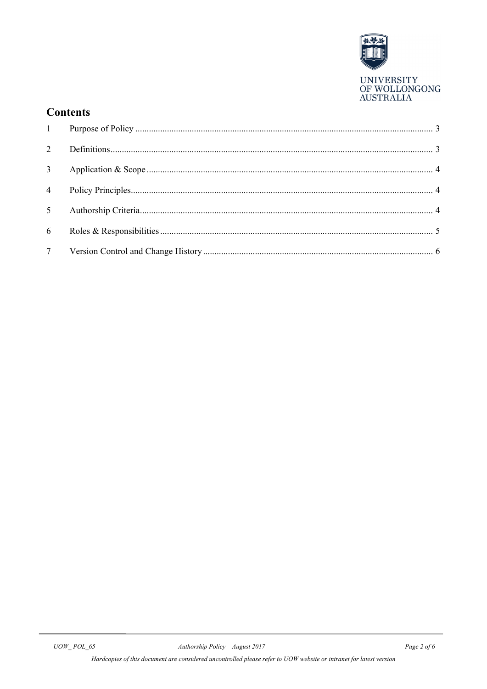

## **Contents**

| 2              |  |
|----------------|--|
| 3 <sup>7</sup> |  |
|                |  |
| 5 <sup>5</sup> |  |
| 6              |  |
|                |  |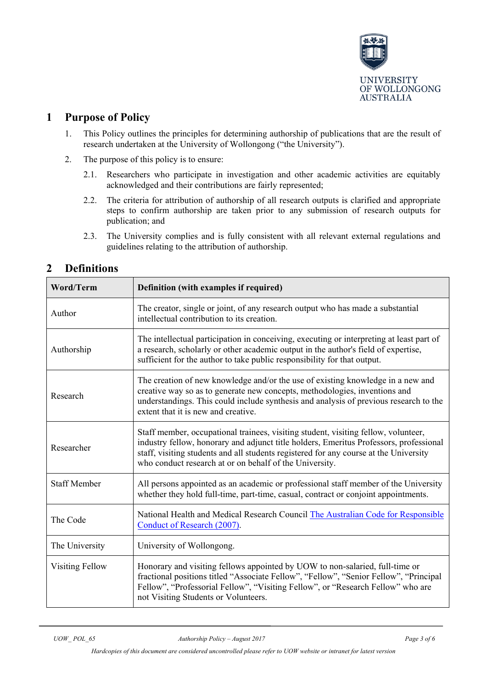

#### <span id="page-2-0"></span>**1 Purpose of Policy**

- 1. This Policy outlines the principles for determining authorship of publications that are the result of research undertaken at the University of Wollongong ("the University").
- 2. The purpose of this policy is to ensure:
	- 2.1. Researchers who participate in investigation and other academic activities are equitably acknowledged and their contributions are fairly represented;
	- 2.2. The criteria for attribution of authorship of all research outputs is clarified and appropriate steps to confirm authorship are taken prior to any submission of research outputs for publication; and
	- 2.3. The University complies and is fully consistent with all relevant external regulations and guidelines relating to the attribution of authorship.

| <b>Word/Term</b>    | Definition (with examples if required)                                                                                                                                                                                                                                                                                           |  |  |
|---------------------|----------------------------------------------------------------------------------------------------------------------------------------------------------------------------------------------------------------------------------------------------------------------------------------------------------------------------------|--|--|
| Author              | The creator, single or joint, of any research output who has made a substantial<br>intellectual contribution to its creation.                                                                                                                                                                                                    |  |  |
| Authorship          | The intellectual participation in conceiving, executing or interpreting at least part of<br>a research, scholarly or other academic output in the author's field of expertise,<br>sufficient for the author to take public responsibility for that output.                                                                       |  |  |
| Research            | The creation of new knowledge and/or the use of existing knowledge in a new and<br>creative way so as to generate new concepts, methodologies, inventions and<br>understandings. This could include synthesis and analysis of previous research to the<br>extent that it is new and creative.                                    |  |  |
| Researcher          | Staff member, occupational trainees, visiting student, visiting fellow, volunteer,<br>industry fellow, honorary and adjunct title holders, Emeritus Professors, professional<br>staff, visiting students and all students registered for any course at the University<br>who conduct research at or on behalf of the University. |  |  |
| <b>Staff Member</b> | All persons appointed as an academic or professional staff member of the University<br>whether they hold full-time, part-time, casual, contract or conjoint appointments.                                                                                                                                                        |  |  |
| The Code            | National Health and Medical Research Council The Australian Code for Responsible<br>Conduct of Research (2007).                                                                                                                                                                                                                  |  |  |
| The University      | University of Wollongong.                                                                                                                                                                                                                                                                                                        |  |  |
| Visiting Fellow     | Honorary and visiting fellows appointed by UOW to non-salaried, full-time or<br>fractional positions titled "Associate Fellow", "Fellow", "Senior Fellow", "Principal<br>Fellow", "Professorial Fellow", "Visiting Fellow", or "Research Fellow" who are<br>not Visiting Students or Volunteers.                                 |  |  |

### <span id="page-2-1"></span>**2 Definitions**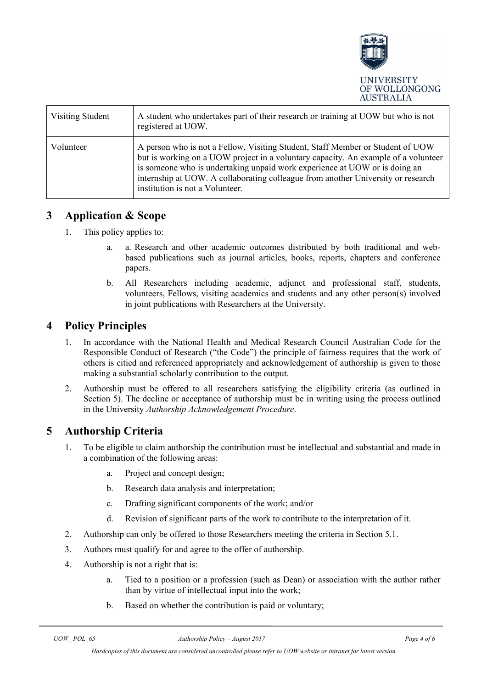

| Visiting Student | A student who undertakes part of their research or training at UOW but who is not<br>registered at UOW.                                                                                                                                                                                                                                                                   |
|------------------|---------------------------------------------------------------------------------------------------------------------------------------------------------------------------------------------------------------------------------------------------------------------------------------------------------------------------------------------------------------------------|
| Volunteer        | A person who is not a Fellow, Visiting Student, Staff Member or Student of UOW<br>but is working on a UOW project in a voluntary capacity. An example of a volunteer<br>is someone who is undertaking unpaid work experience at UOW or is doing an<br>internship at UOW. A collaborating colleague from another University or research<br>institution is not a Volunteer. |

#### <span id="page-3-0"></span>**3 Application & Scope**

- 1. This policy applies to:
	- a. Research and other academic outcomes distributed by both traditional and webbased publications such as journal articles, books, reports, chapters and conference papers.
	- b. All Researchers including academic, adjunct and professional staff, students, volunteers, Fellows, visiting academics and students and any other person(s) involved in joint publications with Researchers at the University.

#### <span id="page-3-1"></span>**4 Policy Principles**

- 1. In accordance with the National Health and Medical Research Council Australian Code for the Responsible Conduct of Research ("the Code") the principle of fairness requires that the work of others is citied and referenced appropriately and acknowledgement of authorship is given to those making a substantial scholarly contribution to the output.
- 2. Authorship must be offered to all researchers satisfying the eligibility criteria (as outlined in Section 5). The decline or acceptance of authorship must be in writing using the process outlined in the University *Authorship Acknowledgement Procedure*.

#### <span id="page-3-2"></span>**5 Authorship Criteria**

- 1. To be eligible to claim authorship the contribution must be intellectual and substantial and made in a combination of the following areas:
	- a. Project and concept design;
	- b. Research data analysis and interpretation;
	- c. Drafting significant components of the work; and/or
	- d. Revision of significant parts of the work to contribute to the interpretation of it.
- 2. Authorship can only be offered to those Researchers meeting the criteria in Section 5.1.
- 3. Authors must qualify for and agree to the offer of authorship.
- 4. Authorship is not a right that is:
	- a. Tied to a position or a profession (such as Dean) or association with the author rather than by virtue of intellectual input into the work;
	- b. Based on whether the contribution is paid or voluntary;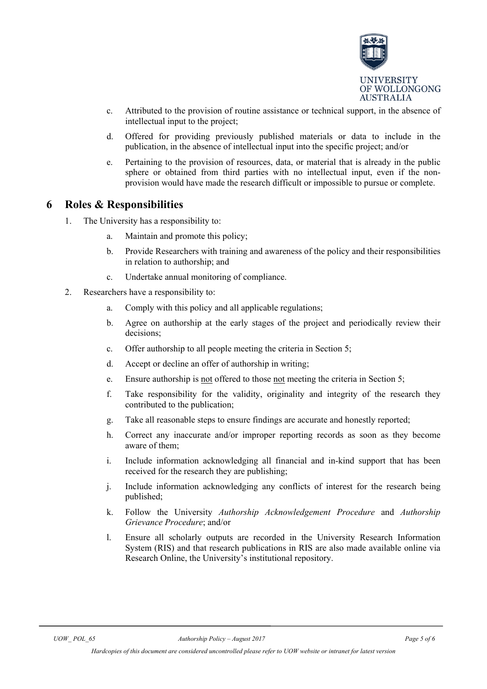

- c. Attributed to the provision of routine assistance or technical support, in the absence of intellectual input to the project;
- d. Offered for providing previously published materials or data to include in the publication, in the absence of intellectual input into the specific project; and/or
- e. Pertaining to the provision of resources, data, or material that is already in the public sphere or obtained from third parties with no intellectual input, even if the nonprovision would have made the research difficult or impossible to pursue or complete.

#### <span id="page-4-0"></span>**6 Roles & Responsibilities**

- 1. The University has a responsibility to:
	- a. Maintain and promote this policy;
	- b. Provide Researchers with training and awareness of the policy and their responsibilities in relation to authorship; and
	- c. Undertake annual monitoring of compliance.
- 2. Researchers have a responsibility to:
	- a. Comply with this policy and all applicable regulations;
	- b. Agree on authorship at the early stages of the project and periodically review their decisions;
	- c. Offer authorship to all people meeting the criteria in Section 5;
	- d. Accept or decline an offer of authorship in writing;
	- e. Ensure authorship is not offered to those not meeting the criteria in Section 5;
	- f. Take responsibility for the validity, originality and integrity of the research they contributed to the publication;
	- g. Take all reasonable steps to ensure findings are accurate and honestly reported;
	- h. Correct any inaccurate and/or improper reporting records as soon as they become aware of them;
	- i. Include information acknowledging all financial and in-kind support that has been received for the research they are publishing;
	- j. Include information acknowledging any conflicts of interest for the research being published;
	- k. Follow the University *Authorship Acknowledgement Procedure* and *Authorship Grievance Procedure*; and/or
	- l. Ensure all scholarly outputs are recorded in the University Research Information System (RIS) and that research publications in RIS are also made available online via Research Online, the University's institutional repository.